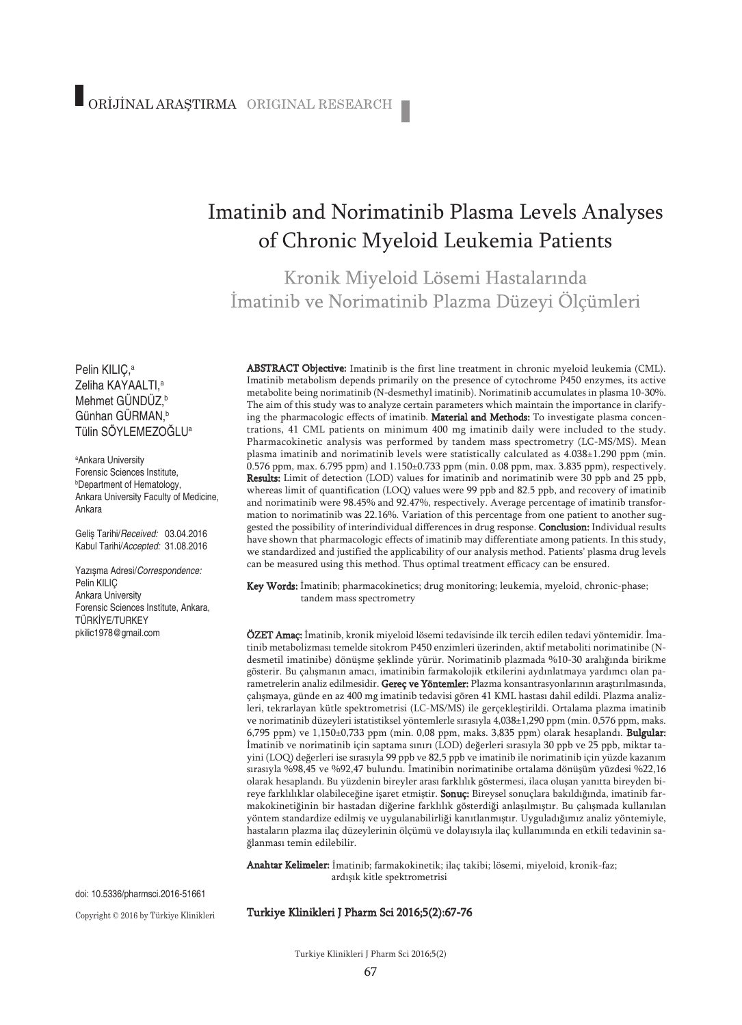# Imatinib and Norimatinib Plasma Levels Analyses of Chronic Myeloid Leukemia Patients

Kronik Miyeloid Lösemi Hastalarında İmatinib ve Norimatinib Plazma Düzeyi Ölçümleri

Pelin KILIÇ, a Zeliha KAYAALTI, a Mehmet GÜNDÜZ, b Günhan GÜRMAN, b Tülin SÖYLEMEZOĞLUa

a Ankara University Forensic Sciences Institute, b Department of Hematology, Ankara University Faculty of Medicine, Ankara

Geliş Tarihi/*Received:* 03.04.2016 Kabul Tarihi/*Accepted:* 31.08.2016

Yazışma Adresi/*Correspondence:* Pelin KILIÇ Ankara University Forensic Sciences Institute, Ankara, TÜRKİYE/TURKEY pkilic1978@gmail.com

ABSTRACT Objective: Imatinib is the first line treatment in chronic myeloid leukemia (CML). Imatinib metabolism depends primarily on the presence of cytochrome P450 enzymes, its active metabolite being norimatinib (N-desmethyl imatinib). Norimatinib accumulates in plasma 10-30%. The aim of this study was to analyze certain parameters which maintain the importance in clarifying the pharmacologic effects of imatinib. Material and Methods: To investigate plasma concentrations, 41 CML patients on minimum 400 mg imatinib daily were included to the study. Pharmacokinetic analysis was performed by tandem mass spectrometry (LC-MS/MS). Mean plasma imatinib and norimatinib levels were statistically calculated as 4.038±1.290 ppm (min. 0.576 ppm, max. 6.795 ppm) and 1.150±0.733 ppm (min. 0.08 ppm, max. 3.835 ppm), respectively. **Results:** Limit of detection (LOD) values for imatinib and norimatinib were 30 ppb and 25 ppb, whereas limit of quantification (LOQ) values were 99 ppb and 82.5 ppb, and recovery of imatinib and norimatinib were 98.45% and 92.47%, respectively. Average percentage of imatinib transformation to norimatinib was 22.16%. Variation of this percentage from one patient to another suggested the possibility of interindividual differences in drug response. Conclusion: Individual results have shown that pharmacologic effects of imatinib may differentiate among patients. In this study, we standardized and justified the applicability of our analysis method. Patients' plasma drug levels can be measured using this method. Thus optimal treatment efficacy can be ensured.

Key Words: İmatinib; pharmacokinetics; drug monitoring; leukemia, myeloid, chronic-phase; tandem mass spectrometry

ÖZET Amaç: İmatinib, kronik miyeloid lösemi tedavisinde ilk tercih edilen tedavi yöntemidir. İmatinib metabolizması temelde sitokrom P450 enzimleri üzerinden, aktif metaboliti norimatinibe (Ndesmetil imatinibe) dönüşme şeklinde yürür. Norimatinib plazmada %10-30 aralığında birikme gösterir. Bu çalışmanın amacı, imatinibin farmakolojik etkilerini aydınlatmaya yardımcı olan parametrelerin analiz edilmesidir. Gereç ve Yöntemler: Plazma konsantrasyonlarının araştırılmasında, çalışmaya, günde en az 400 mg imatinib tedavisi gören 41 KML hastası dahil edildi. Plazma analizleri, tekrarlayan kütle spektrometrisi (LC-MS/MS) ile gerçekleştirildi. Ortalama plazma imatinib ve norimatinib düzeyleri istatistiksel yöntemlerle sırasıyla 4,038±1,290 ppm (min. 0,576 ppm, maks.  $6,795$  ppm) ve  $1,150\pm0,733$  ppm (min. 0,08 ppm, maks. 3,835 ppm) olarak hesaplandı. **Bulgular:** İmatinib ve norimatinib için saptama sınırı (LOD) değerleri sırasıyla 30 ppb ve 25 ppb, miktar tayini (LOQ) değerleri ise sırasıyla 99 ppb ve 82,5 ppb ve imatinib ile norimatinib için yüzde kazanım sırasıyla %98,45 ve %92,47 bulundu. İmatinibin norimatinibe ortalama dönüşüm yüzdesi %22,16 olarak hesaplandı. Bu yüzdenin bireyler arası farklılık göstermesi, ilaca oluşan yanıtta bireyden bireye farklılıklar olabileceğine işaret etmiştir. Sonuç: Bireysel sonuçlara bakıldığında, imatinib farmakokinetiğinin bir hastadan diğerine farklılık gösterdiği anlaşılmıştır. Bu çalışmada kullanılan yöntem standardize edilmiş ve uygulanabilirliği kanıtlanmıştır. Uyguladığımız analiz yöntemiyle, hastaların plazma ilaç düzeylerinin ölçümü ve dolayısıyla ilaç kullanımında en etkili tedavinin sağlanması temin edilebilir.

Anahtar Kelimeler: İmatinib; farmakokinetik; ilaç takibi; lösemi, miyeloid, kronik-faz; ardışık kitle spektrometrisi

doi: 10.5336/pharmsci.2016-51661

Copyright © 2016 by Türkiye Klinikleri

#### Turkiye Klinikleri J Pharm Sci 2016;5(2):67-76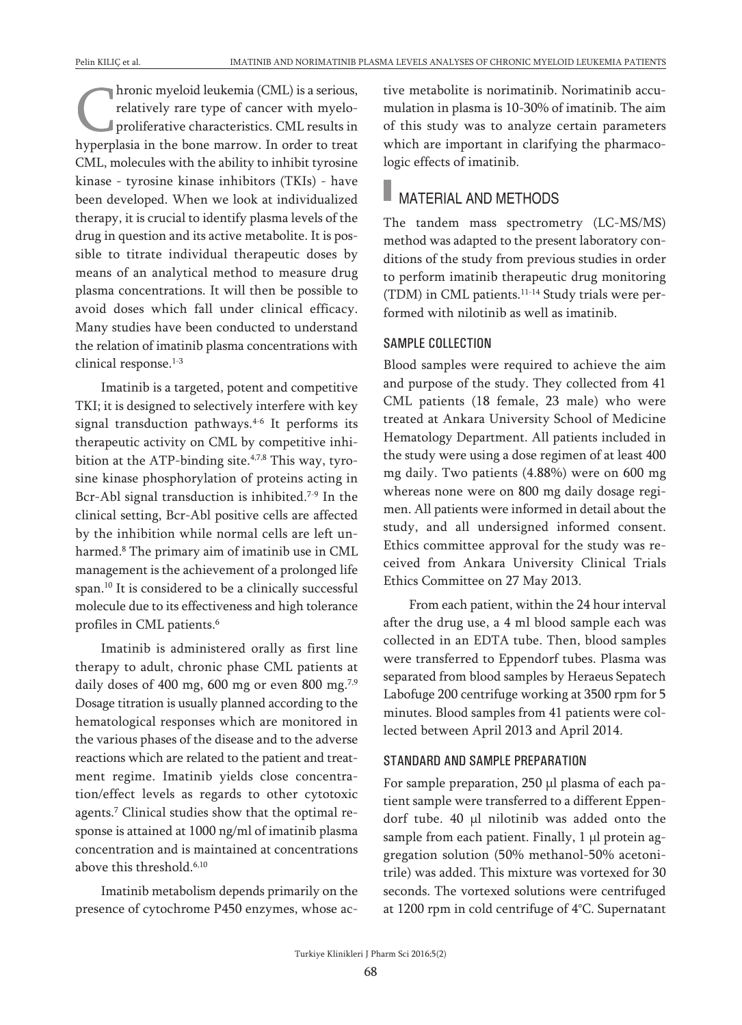hronic myeloid leukemia (CML) is a serious, relatively rare type of cancer with myeloproliferative characteristics. CML results in hyperplasia in the bone marrow. In order to treat CML, molecules with the ability to inhibit tyrosine kinase - tyrosine kinase inhibitors (TKIs) - have been developed. When we look at individualized therapy, it is crucial to identify plasma levels of the drug in question and its active metabolite. It is possible to titrate individual therapeutic doses by means of an analytical method to measure drug plasma concentrations. It will then be possible to avoid doses which fall under clinical efficacy. Many studies have been conducted to understand the relation of imatinib plasma concentrations with clinical response. 1-3

Imatinib is a targeted, potent and competitive TKI; it is designed to selectively interfere with key signal transduction pathways. 4-6 It performs its therapeutic activity on CML by competitive inhibition at the ATP-binding site.<sup>4,7,8</sup> This way, tyrosine kinase phosphorylation of proteins acting in Bcr-Abl signal transduction is inhibited. 7-9 In the clinical setting, Bcr-Abl positive cells are affected by the inhibition while normal cells are left unharmed. <sup>8</sup> The primary aim of imatinib use in CML management is the achievement of a prolonged life span. <sup>10</sup> It is considered to be a clinically successful molecule due to its effectiveness and high tolerance profiles in CML patients. 6

Imatinib is administered orally as first line therapy to adult, chronic phase CML patients at daily doses of 400 mg, 600 mg or even 800 mg.<sup>7,9</sup> Dosage titration is usually planned according to the hematological responses which are monitored in the various phases of the disease and to the adverse reactions which are related to the patient and treatment regime. Imatinib yields close concentration/effect levels as regards to other cytotoxic agents. <sup>7</sup> Clinical studies show that the optimal response is attained at 1000 ng/ml of imatinib plasma concentration and is maintained at concentrations above this threshold. 6,10

Imatinib metabolism depends primarily on the presence of cytochrome P450 enzymes, whose active metabolite is norimatinib. Norimatinib accumulation in plasma is 10-30% of imatinib. The aim of this study was to analyze certain parameters which are important in clarifying the pharmacologic effects of imatinib.

### **MATERIAL AND METHODS**

The tandem mass spectrometry (LC-MS/MS) method was adapted to the present laboratory conditions of the study from previous studies in order to perform imatinib therapeutic drug monitoring (TDM) in CML patients. 11-14 Study trials were performed with nilotinib as well as imatinib.

#### SAMPLE COLLECTION

Blood samples were required to achieve the aim and purpose of the study. They collected from 41 CML patients (18 female, 23 male) who were treated at Ankara University School of Medicine Hematology Department. All patients included in the study were using a dose regimen of at least 400 mg daily. Two patients (4.88%) were on 600 mg whereas none were on 800 mg daily dosage regimen. All patients were informed in detail about the study, and all undersigned informed consent. Ethics committee approval for the study was received from Ankara University Clinical Trials Ethics Committee on 27 May 2013.

From each patient, within the 24 hour interval after the drug use, a 4 ml blood sample each was collected in an EDTA tube. Then, blood samples were transferred to Eppendorf tubes. Plasma was separated from blood samples by Heraeus Sepatech Labofuge 200 centrifuge working at 3500 rpm for 5 minutes. Blood samples from 41 patients were collected between April 2013 and April 2014.

#### STANDARD AND SAMPLE PREPARATION

For sample preparation, 250 μl plasma of each patient sample were transferred to a different Eppendorf tube. 40 μl nilotinib was added onto the sample from each patient. Finally, 1 μl protein aggregation solution (50% methanol-50% acetonitrile) was added. This mixture was vortexed for 30 seconds. The vortexed solutions were centrifuged at 1200 rpm in cold centrifuge of 4°C. Supernatant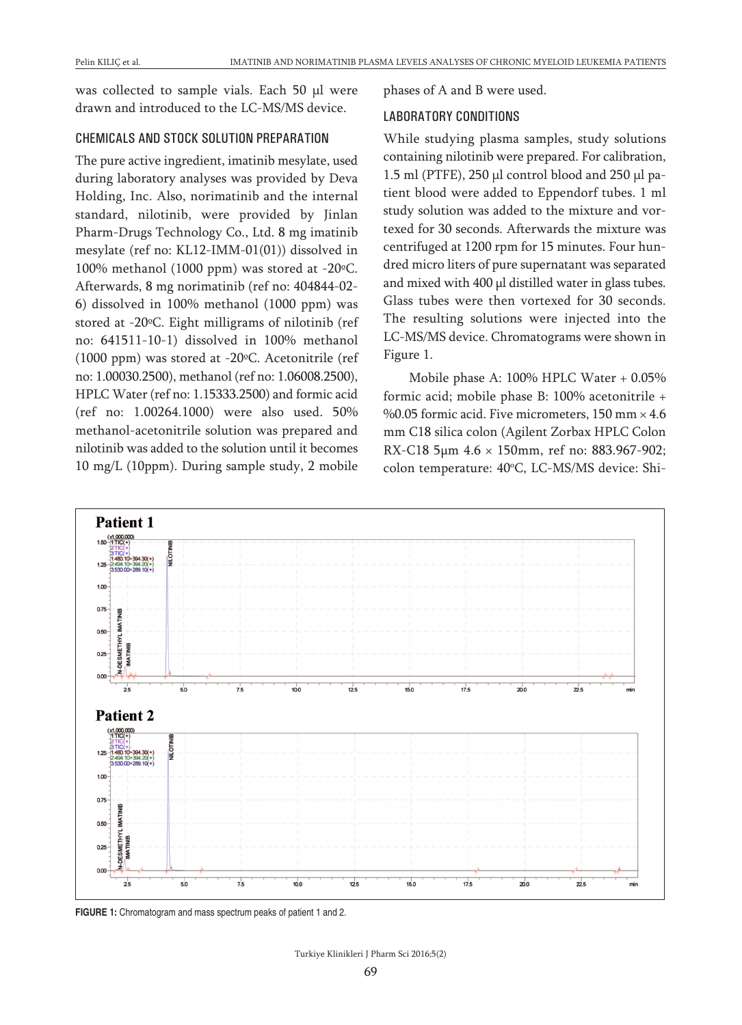was collected to sample vials. Each 50 μl were drawn and introduced to the LC-MS/MS device.

#### CHEMICALS AND STOCK SOLUTION PREPARATION

The pure active ingredient, imatinib mesylate, used during laboratory analyses was provided by Deva Holding, Inc. Also, norimatinib and the internal standard, nilotinib, were provided by Jinlan Pharm-Drugs Technology Co., Ltd. 8 mg imatinib mesylate (ref no: KL12-IMM-01(01)) dissolved in 100% methanol (1000 ppm) was stored at -20ºC. Afterwards, 8 mg norimatinib (ref no: 404844-02- 6) dissolved in 100% methanol (1000 ppm) was stored at -20ºC. Eight milligrams of nilotinib (ref no: 641511-10-1) dissolved in 100% methanol (1000 ppm) was stored at -20ºC. Acetonitrile (ref no: 1.00030.2500), methanol (ref no: 1.06008.2500), HPLC Water (ref no: 1.15333.2500) and formic acid (ref no: 1.00264.1000) were also used. 50% methanol-acetonitrile solution was prepared and nilotinib was added to the solution until it becomes 10 mg/L (10ppm). During sample study, 2 mobile

phases of A and B were used.

#### LABORATORY CONDITIONS

While studying plasma samples, study solutions containing nilotinib were prepared. For calibration, 1.5 ml (PTFE), 250 μl control blood and 250 μl patient blood were added to Eppendorf tubes. 1 ml study solution was added to the mixture and vortexed for 30 seconds. Afterwards the mixture was centrifuged at 1200 rpm for 15 minutes. Four hundred micro liters of pure supernatant was separated and mixed with 400 µl distilled water in glass tubes. Glass tubes were then vortexed for 30 seconds. The resulting solutions were injected into the LC-MS/MS device. Chromatograms were shown in Figure 1.

Mobile phase A: 100% HPLC Water + 0.05% formic acid; mobile phase B: 100% acetonitrile + %0.05 formic acid. Five micrometers,  $150 \text{ mm} \times 4.6$ mm C18 silica colon (Agilent Zorbax HPLC Colon RX-C18 5µm 4.6 × 150mm, ref no: 883.967-902; colon temperature: 40°C, LC-MS/MS device: Shi-



**FIGURE 1:** Chromatogram and mass spectrum peaks of patient 1 and 2.

Turkiye Klinikleri J Pharm Sci 2016;5(2)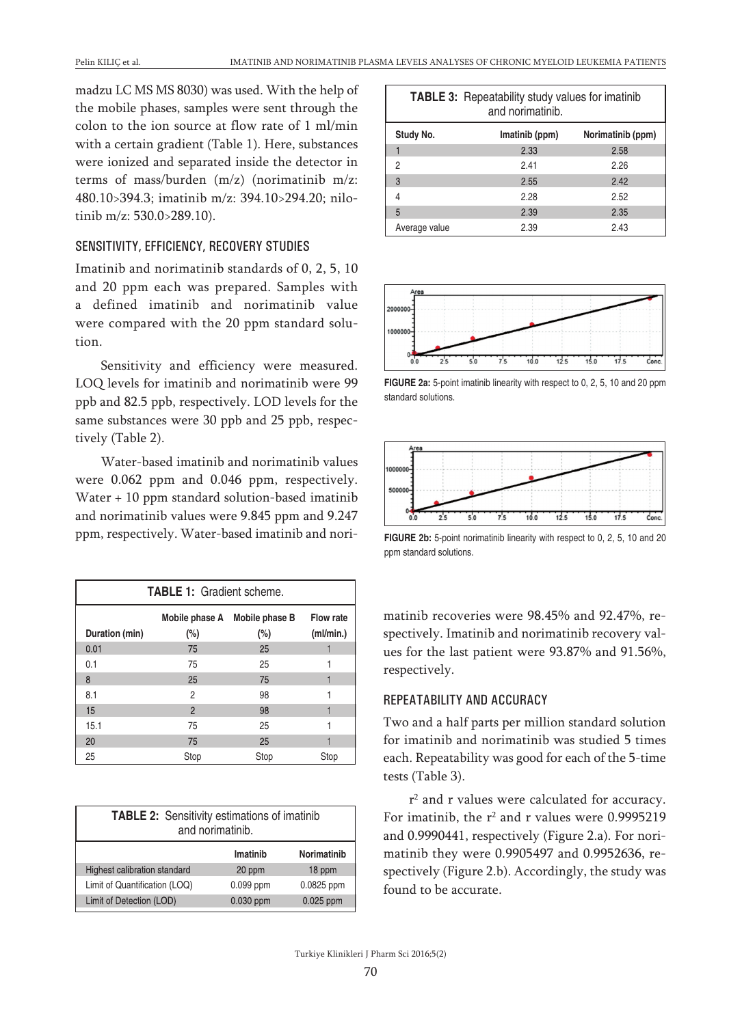madzu LC MS MS 8030) was used. With the help of the mobile phases, samples were sent through the colon to the ion source at flow rate of 1 ml/min with a certain gradient (Table 1). Here, substances were ionized and separated inside the detector in terms of mass/burden (m/z) (norimatinib m/z: 480.10>394.3; imatinib m/z: 394.10>294.20; nilotinib m/z: 530.0>289.10).

#### SENSITIVITY, EFFICIENCY, RECOVERY STUDIES

Imatinib and norimatinib standards of 0, 2, 5, 10 and 20 ppm each was prepared. Samples with a defined imatinib and norimatinib value were compared with the 20 ppm standard solution.

Sensitivity and efficiency were measured. LOQ levels for imatinib and norimatinib were 99 ppb and 82.5 ppb, respectively. LOD levels for the same substances were 30 ppb and 25 ppb, respectively (Table 2).

Water-based imatinib and norimatinib values were 0.062 ppm and 0.046 ppm, respectively. Water + 10 ppm standard solution-based imatinib and norimatinib values were 9.845 ppm and 9.247 ppm, respectively. Water-based imatinib and nori-

| <b>TABLE 1: Gradient scheme.</b>                                                              |                |      |      |  |  |  |  |
|-----------------------------------------------------------------------------------------------|----------------|------|------|--|--|--|--|
| Mobile phase A Mobile phase B<br>Flow rate<br>$(\%)$<br>$(\%)$<br>(ml/min.)<br>Duration (min) |                |      |      |  |  |  |  |
| 0.01                                                                                          | 75             | 25   |      |  |  |  |  |
| 0.1                                                                                           | 75             | 25   |      |  |  |  |  |
| 8                                                                                             | 25             | 75   |      |  |  |  |  |
| 8.1                                                                                           | 2              | 98   |      |  |  |  |  |
| 15                                                                                            | $\overline{2}$ | 98   |      |  |  |  |  |
| 15.1                                                                                          | 75             | 25   |      |  |  |  |  |
| 20                                                                                            | 75             | 25   |      |  |  |  |  |
| 25                                                                                            | Stop           | Stop | Stop |  |  |  |  |

| <b>TABLE 2:</b> Sensitivity estimations of imatinib<br>and norimatinib. |           |             |  |  |  |
|-------------------------------------------------------------------------|-----------|-------------|--|--|--|
| Norimatinib<br>Imatinib                                                 |           |             |  |  |  |
| Highest calibration standard                                            | 20 ppm    | 18 ppm      |  |  |  |
| Limit of Quantification (LOQ)                                           | 0.099 ppm | 0.0825 ppm  |  |  |  |
| Limit of Detection (LOD)                                                | 0.030 ppm | $0.025$ ppm |  |  |  |

|               | <b>TABLE 3:</b> Repeatability study values for imatinib<br>and norimatinib. |                   |  |  |
|---------------|-----------------------------------------------------------------------------|-------------------|--|--|
| Study No.     | Imatinib (ppm)                                                              | Norimatinib (ppm) |  |  |
|               | 2.33                                                                        | 2.58              |  |  |
| 2             | 2.41                                                                        | 2.26              |  |  |
| 3             | 2.55                                                                        | 2.42              |  |  |
| 4             | 2.28                                                                        | 2.52              |  |  |
| 5             | 2.39                                                                        | 2.35              |  |  |
| Average value | 2.39                                                                        | 2.43              |  |  |



**FIGURE 2a:** 5-point imatinib linearity with respect to 0, 2, 5, 10 and 20 ppm standard solutions.



**FIGURE 2b:** 5-point norimatinib linearity with respect to 0, 2, 5, 10 and 20 ppm standard solutions.

matinib recoveries were 98.45% and 92.47%, respectively. Imatinib and norimatinib recovery values for the last patient were 93.87% and 91.56%, respectively.

#### REPEATABILITY AND ACCURACY

Two and a half parts per million standard solution for imatinib and norimatinib was studied 5 times each. Repeatability was good for each of the 5-time tests (Table 3).

r2 and r values were calculated for accuracy. For imatinib, the  $r^2$  and r values were 0.9995219 and 0.9990441, respectively (Figure 2.a). For norimatinib they were 0.9905497 and 0.9952636, respectively (Figure 2.b). Accordingly, the study was found to be accurate.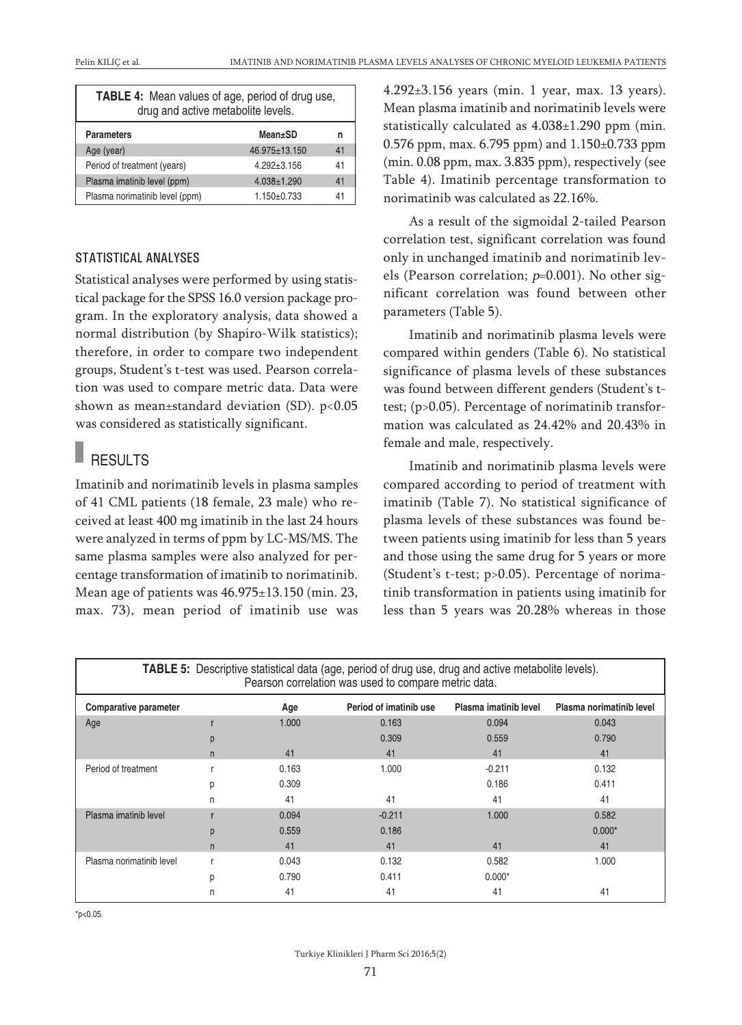| <b>TABLE 4:</b> Mean values of age, period of drug use,<br>drug and active metabolite levels. |  |  |  |  |
|-----------------------------------------------------------------------------------------------|--|--|--|--|
| Mean±SD<br><b>Parameters</b><br>n                                                             |  |  |  |  |
| 46.975±13.150<br>Age (year)<br>41                                                             |  |  |  |  |
| Period of treatment (years)<br>41<br>$4.292 \pm 3.156$                                        |  |  |  |  |
| Plasma imatinib level (ppm)<br>$4.038 \pm 1.290$<br>41                                        |  |  |  |  |
| Plasma norimatinib level (ppm)<br>$1.150 \pm 0.733$<br>41                                     |  |  |  |  |

#### STATISTICAL ANALYSES

Statistical analyses were performed by using statistical package for the SPSS 16.0 version package program. In the exploratory analysis, data showed a normal distribution (by Shapiro-Wilk statistics); therefore, in order to compare two independent groups, Student's t-test was used. Pearson correlation was used to compare metric data. Data were shown as mean±standard deviation (SD). p<0.05 was considered as statistically significant.

## **RESULTS**

Imatinib and norimatinib levels in plasma samples of 41 CML patients (18 female, 23 male) who received at least 400 mg imatinib in the last 24 hours were analyzed in terms of ppm by LC-MS/MS. The same plasma samples were also analyzed for percentage transformation of imatinib to norimatinib. Mean age of patients was 46.975±13.150 (min. 23, max. 73), mean period of imatinib use was 4.292±3.156 years (min. 1 year, max. 13 years). Mean plasma imatinib and norimatinib levels were statistically calculated as 4.038±1.290 ppm (min. 0.576 ppm, max. 6.795 ppm) and 1.150±0.733 ppm (min. 0.08 ppm, max. 3.835 ppm), respectively (see Table 4). Imatinib percentage transformation to norimatinib was calculated as 22.16%.

As a result of the sigmoidal 2-tailed Pearson correlation test, significant correlation was found only in unchanged imatinib and norimatinib levels (Pearson correlation;  $p=0.001$ ). No other significant correlation was found between other parameters (Table 5).

Imatinib and norimatinib plasma levels were compared within genders (Table 6). No statistical significance of plasma levels of these substances was found between different genders (Student's ttest; (p>0.05). Percentage of norimatinib transformation was calculated as 24.42% and 20.43% in female and male, respectively.

Imatinib and norimatinib plasma levels were compared according to period of treatment with imatinib (Table 7). No statistical significance of plasma levels of these substances was found between patients using imatinib for less than 5 years and those using the same drug for 5 years or more (Student's t-test; p>0.05). Percentage of norimatinib transformation in patients using imatinib for less than 5 years was 20.28% whereas in those

| <b>TABLE 5:</b> Descriptive statistical data (age, period of drug use, drug and active metabolite levels).         |                                                      |       |          |          |          |  |  |
|--------------------------------------------------------------------------------------------------------------------|------------------------------------------------------|-------|----------|----------|----------|--|--|
|                                                                                                                    | Pearson correlation was used to compare metric data. |       |          |          |          |  |  |
| Period of imatinib use<br>Plasma imatinib level<br>Plasma norimatinib level<br><b>Comparative parameter</b><br>Age |                                                      |       |          |          |          |  |  |
| Age                                                                                                                |                                                      | 1.000 | 0.163    | 0.094    | 0.043    |  |  |
|                                                                                                                    | р                                                    |       | 0.309    | 0.559    | 0.790    |  |  |
|                                                                                                                    | n                                                    | 41    | 41       | 41       | 41       |  |  |
| Period of treatment                                                                                                |                                                      | 0.163 | 1.000    | $-0.211$ | 0.132    |  |  |
|                                                                                                                    | р                                                    | 0.309 |          | 0.186    | 0.411    |  |  |
|                                                                                                                    | n                                                    | 41    | 41       | 41       | 41       |  |  |
| Plasma imatinib level                                                                                              |                                                      | 0.094 | $-0.211$ | 1.000    | 0.582    |  |  |
|                                                                                                                    | p                                                    | 0.559 | 0.186    |          | $0.000*$ |  |  |
|                                                                                                                    | n                                                    | 41    | 41       | 41       | 41       |  |  |
| Plasma norimatinib level                                                                                           |                                                      | 0.043 | 0.132    | 0.582    | 1.000    |  |  |
|                                                                                                                    | D                                                    | 0.790 | 0.411    | $0.000*$ |          |  |  |
|                                                                                                                    |                                                      | 41    | 41       | 41       | 41       |  |  |

 $*p<0.05$ .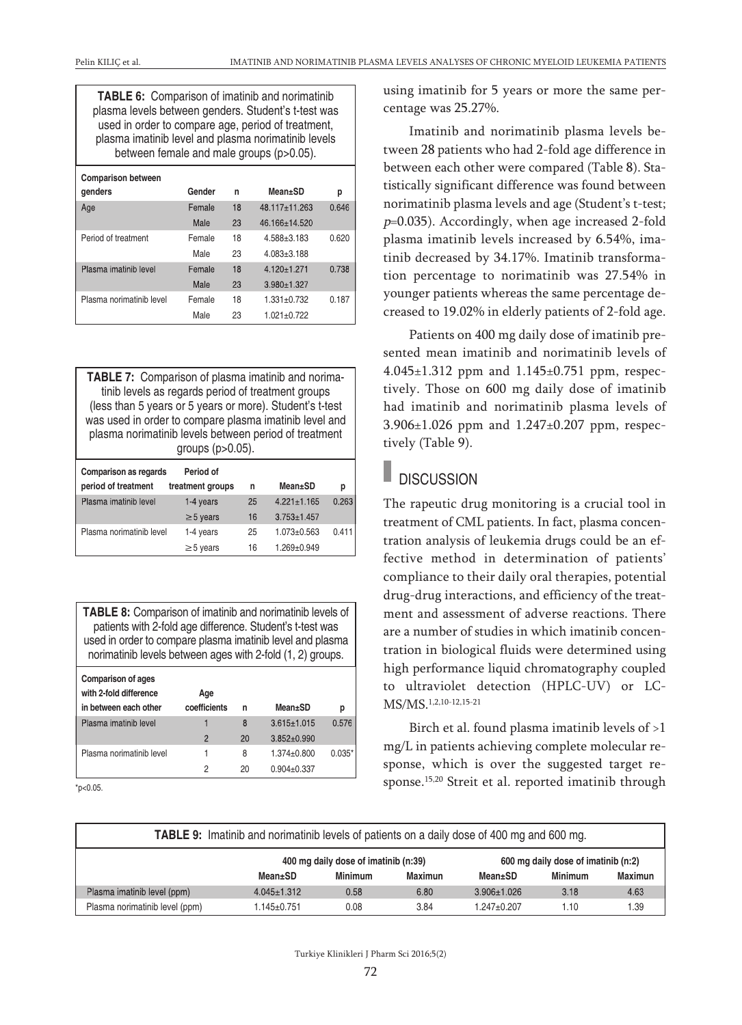**TABLE 6:** Comparison of imatinib and norimatinib plasma levels between genders. Student's t-test was used in order to compare age, period of treatment, plasma imatinib level and plasma norimatinib levels between female and male groups (p>0.05).

| <b>Comparison between</b><br>qenders | Gender | n  | Mean+SD         | р     |
|--------------------------------------|--------|----|-----------------|-------|
| Age                                  | Female | 18 | 48.117±11.263   | 0.646 |
|                                      | Male   | 23 | 46.166±14.520   |       |
| Period of treatment                  | Female | 18 | $4.588 + 3.183$ | 0.620 |
|                                      | Male   | 23 | $4.083 + 3.188$ |       |
| Plasma imatinib level                | Female | 18 | $4.120 + 1.271$ | 0.738 |
|                                      | Male   | 23 | $3.980 + 1.327$ |       |
| Plasma norimatinib level             | Female | 18 | $1.331 + 0.732$ | 0.187 |
|                                      | Male   | 23 | $1.021 + 0.722$ |       |

**TABLE 7:** Comparison of plasma imatinib and norimatinib levels as regards period of treatment groups (less than 5 years or 5 years or more). Student's t-test was used in order to compare plasma imatinib level and plasma norimatinib levels between period of treatment groups (p>0.05).

| <b>Comparison as regards</b><br>period of treatment | Period of<br>treatment groups | n  | Mean±SD         | р     |
|-----------------------------------------------------|-------------------------------|----|-----------------|-------|
|                                                     |                               |    |                 |       |
| Plasma imatinib level                               | 1-4 years                     | 25 | $4.221 + 1.165$ | 0.263 |
|                                                     | $\geq$ 5 years                | 16 | $3.753 + 1.457$ |       |
| Plasma norimatinib level                            | 1-4 years                     | 25 | $1.073 + 0.563$ | 0.411 |
|                                                     | $\geq$ 5 years                | 16 | $1.269 + 0.949$ |       |

**TABLE 8:** Comparison of imatinib and norimatinib levels of patients with 2-fold age difference. Student's t-test was used in order to compare plasma imatinib level and plasma norimatinib levels between ages with 2-fold (1, 2) groups.

| Age<br>coefficients | n  | Mean±SD           | р        |
|---------------------|----|-------------------|----------|
| 1                   | 8  | $3.615 \pm 1.015$ | 0.576    |
| 2                   | 20 | $3.852 + 0.990$   |          |
|                     | 8  | $1.374 \pm 0.800$ | $0.035*$ |
| 2                   | 20 | $0.904 \pm 0.337$ |          |
|                     |    |                   |          |

 $*p<0.05$ .

using imatinib for 5 years or more the same percentage was 25.27%.

Imatinib and norimatinib plasma levels between 28 patients who had 2-fold age difference in between each other were compared (Table 8). Statistically significant difference was found between norimatinib plasma levels and age (Student's t-test; <sup>p</sup>=0.035). Accordingly, when age increased 2-fold plasma imatinib levels increased by 6.54%, imatinib decreased by 34.17%. Imatinib transformation percentage to norimatinib was 27.54% in younger patients whereas the same percentage decreased to 19.02% in elderly patients of 2-fold age.

Patients on 400 mg daily dose of imatinib presented mean imatinib and norimatinib levels of 4.045±1.312 ppm and 1.145±0.751 ppm, respectively. Those on 600 mg daily dose of imatinib had imatinib and norimatinib plasma levels of 3.906±1.026 ppm and 1.247±0.207 ppm, respectively (Table 9).

### **DISCUSSION**

The rapeutic drug monitoring is a crucial tool in treatment of CML patients. In fact, plasma concentration analysis of leukemia drugs could be an effective method in determination of patients' compliance to their daily oral therapies, potential drug-drug interactions, and efficiency of the treatment and assessment of adverse reactions. There are a number of studies in which imatinib concentration in biological fluids were determined using high performance liquid chromatography coupled to ultraviolet detection (HPLC-UV) or LC-MS/MS. 1,2,10-12,15-21

Birch et al. found plasma imatinib levels of >1 mg/L in patients achieving complete molecular response, which is over the suggested target response. 15,20 Streit et al. reported imatinib through

|  | <b>TABLE 9:</b> Imatinib and norimatinib levels of patients on a daily dose of 400 mg and 600 mg. |
|--|---------------------------------------------------------------------------------------------------|
|--|---------------------------------------------------------------------------------------------------|

|                                | 400 mg daily dose of imatinib (n:39) |         |         |                   | 600 mg daily dose of imatinib (n:2) |         |
|--------------------------------|--------------------------------------|---------|---------|-------------------|-------------------------------------|---------|
|                                | Mean±SD                              | Minimum | Maximun | Mean+SD           | Minimum                             | Maximun |
| Plasma imatinib level (ppm)    | $4.045 \pm 1.312$                    | 0.58    | 6.80    | $3.906 \pm 1.026$ | 3.18                                | 4.63    |
| Plasma norimatinib level (ppm) | $.145 \pm 0.751$                     | 0.08    | 3.84    | 1.247±0.207       | 1.10                                | .39     |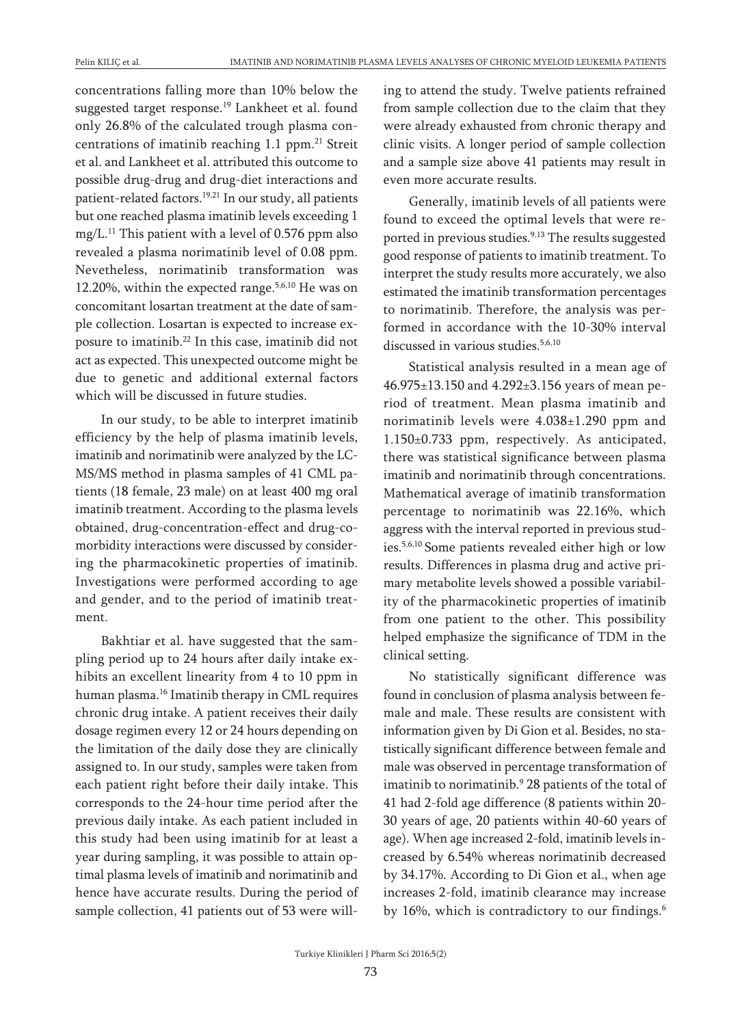concentrations falling more than 10% below the suggested target response. <sup>19</sup> Lankheet et al. found only 26.8% of the calculated trough plasma concentrations of imatinib reaching 1.1 ppm. <sup>21</sup> Streit et al. and Lankheet et al. attributed this outcome to possible drug-drug and drug-diet interactions and patient-related factors. 19,21 In our study, all patients but one reached plasma imatinib levels exceeding 1 mg/L. <sup>11</sup> This patient with a level of 0.576 ppm also revealed a plasma norimatinib level of 0.08 ppm. Nevetheless, norimatinib transformation was 12.20%, within the expected range. 5,6,10 He was on concomitant losartan treatment at the date of sample collection. Losartan is expected to increase exposure to imatinib. <sup>22</sup> In this case, imatinib did not act as expected. This unexpected outcome might be due to genetic and additional external factors which will be discussed in future studies.

In our study, to be able to interpret imatinib efficiency by the help of plasma imatinib levels, imatinib and norimatinib were analyzed by the LC-MS/MS method in plasma samples of 41 CML patients (18 female, 23 male) on at least 400 mg oral imatinib treatment. According to the plasma levels obtained, drug-concentration-effect and drug-comorbidity interactions were discussed by considering the pharmacokinetic properties of imatinib. Investigations were performed according to age and gender, and to the period of imatinib treatment.

Bakhtiar et al. have suggested that the sampling period up to 24 hours after daily intake exhibits an excellent linearity from 4 to 10 ppm in human plasma. <sup>16</sup> Imatinib therapy in CML requires chronic drug intake. A patient receives their daily dosage regimen every 12 or 24 hours depending on the limitation of the daily dose they are clinically assigned to. In our study, samples were taken from each patient right before their daily intake. This corresponds to the 24-hour time period after the previous daily intake. As each patient included in this study had been using imatinib for at least a year during sampling, it was possible to attain optimal plasma levels of imatinib and norimatinib and hence have accurate results. During the period of sample collection, 41 patients out of 53 were willing to attend the study. Twelve patients refrained from sample collection due to the claim that they were already exhausted from chronic therapy and clinic visits. A longer period of sample collection and a sample size above 41 patients may result in even more accurate results.

Generally, imatinib levels of all patients were found to exceed the optimal levels that were reported in previous studies. 9,13 The results suggested good response of patients to imatinib treatment. To interpret the study results more accurately, we also estimated the imatinib transformation percentages to norimatinib. Therefore, the analysis was performed in accordance with the 10-30% interval discussed in various studies. 5,6,10

Statistical analysis resulted in a mean age of 46.975±13.150 and 4.292±3.156 years of mean period of treatment. Mean plasma imatinib and norimatinib levels were 4.038±1.290 ppm and 1.150±0.733 ppm, respectively. As anticipated, there was statistical significance between plasma imatinib and norimatinib through concentrations. Mathematical average of imatinib transformation percentage to norimatinib was 22.16%, which aggress with the interval reported in previous studies. 5,6,10 Some patients revealed either high or low results. Differences in plasma drug and active primary metabolite levels showed a possible variability of the pharmacokinetic properties of imatinib from one patient to the other. This possibility helped emphasize the significance of TDM in the clinical setting.

No statistically significant difference was found in conclusion of plasma analysis between female and male. These results are consistent with information given by Di Gion et al. Besides, no statistically significant difference between female and male was observed in percentage transformation of imatinib to norimatinib. <sup>9</sup> 28 patients of the total of 41 had 2-fold age difference (8 patients within 20- 30 years of age, 20 patients within 40-60 years of age). When age increased 2-fold, imatinib levels increased by 6.54% whereas norimatinib decreased by 34.17%. According to Di Gion et al., when age increases 2-fold, imatinib clearance may increase by 16%, which is contradictory to our findings.<sup>6</sup>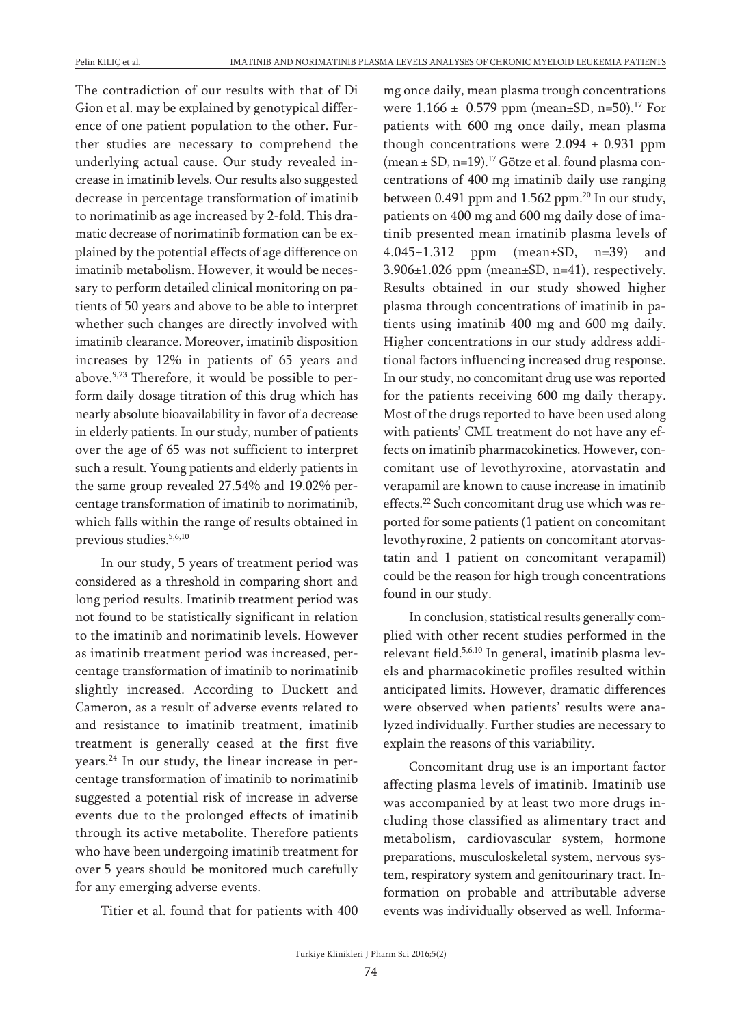The contradiction of our results with that of Di Gion et al. may be explained by genotypical difference of one patient population to the other. Further studies are necessary to comprehend the underlying actual cause. Our study revealed increase in imatinib levels. Our results also suggested decrease in percentage transformation of imatinib to norimatinib as age increased by 2-fold. This dramatic decrease of norimatinib formation can be explained by the potential effects of age difference on imatinib metabolism. However, it would be necessary to perform detailed clinical monitoring on patients of 50 years and above to be able to interpret whether such changes are directly involved with imatinib clearance. Moreover, imatinib disposition increases by 12% in patients of 65 years and above.<sup>9,23</sup> Therefore, it would be possible to perform daily dosage titration of this drug which has nearly absolute bioavailability in favor of a decrease in elderly patients. In our study, number of patients over the age of 65 was not sufficient to interpret such a result. Young patients and elderly patients in the same group revealed 27.54% and 19.02% percentage transformation of imatinib to norimatinib, which falls within the range of results obtained in previous studies. 5,6,10

In our study, 5 years of treatment period was considered as a threshold in comparing short and long period results. Imatinib treatment period was not found to be statistically significant in relation to the imatinib and norimatinib levels. However as imatinib treatment period was increased, percentage transformation of imatinib to norimatinib slightly increased. According to Duckett and Cameron, as a result of adverse events related to and resistance to imatinib treatment, imatinib treatment is generally ceased at the first five years. <sup>24</sup> In our study, the linear increase in percentage transformation of imatinib to norimatinib suggested a potential risk of increase in adverse events due to the prolonged effects of imatinib through its active metabolite. Therefore patients who have been undergoing imatinib treatment for over 5 years should be monitored much carefully for any emerging adverse events.

Titier et al. found that for patients with 400

mg once daily, mean plasma trough concentrations were 1.166 ± 0.579 ppm (mean±SD, n=50).<sup>17</sup> For patients with 600 mg once daily, mean plasma though concentrations were  $2.094 \pm 0.931$  ppm (mean ± SD, n=19). <sup>17</sup> Götze et al. found plasma concentrations of 400 mg imatinib daily use ranging between 0.491 ppm and 1.562 ppm. <sup>20</sup> In our study, patients on 400 mg and 600 mg daily dose of imatinib presented mean imatinib plasma levels of 4.045±1.312 ppm (mean±SD, n=39) and 3.906±1.026 ppm (mean±SD, n=41), respectively. Results obtained in our study showed higher plasma through concentrations of imatinib in patients using imatinib 400 mg and 600 mg daily. Higher concentrations in our study address additional factors influencing increased drug response. In our study, no concomitant drug use was reported for the patients receiving 600 mg daily therapy. Most of the drugs reported to have been used along with patients' CML treatment do not have any effects on imatinib pharmacokinetics. However, concomitant use of levothyroxine, atorvastatin and verapamil are known to cause increase in imatinib effects.<sup>22</sup> Such concomitant drug use which was reported for some patients (1 patient on concomitant levothyroxine, 2 patients on concomitant atorvastatin and 1 patient on concomitant verapamil) could be the reason for high trough concentrations found in our study.

In conclusion, statistical results generally complied with other recent studies performed in the relevant field.<sup>5,6,10</sup> In general, imatinib plasma levels and pharmacokinetic profiles resulted within anticipated limits. However, dramatic differences were observed when patients' results were analyzed individually. Further studies are necessary to explain the reasons of this variability.

Concomitant drug use is an important factor affecting plasma levels of imatinib. Imatinib use was accompanied by at least two more drugs including those classified as alimentary tract and metabolism, cardiovascular system, hormone preparations, musculoskeletal system, nervous system, respiratory system and genitourinary tract. Information on probable and attributable adverse events was individually observed as well. Informa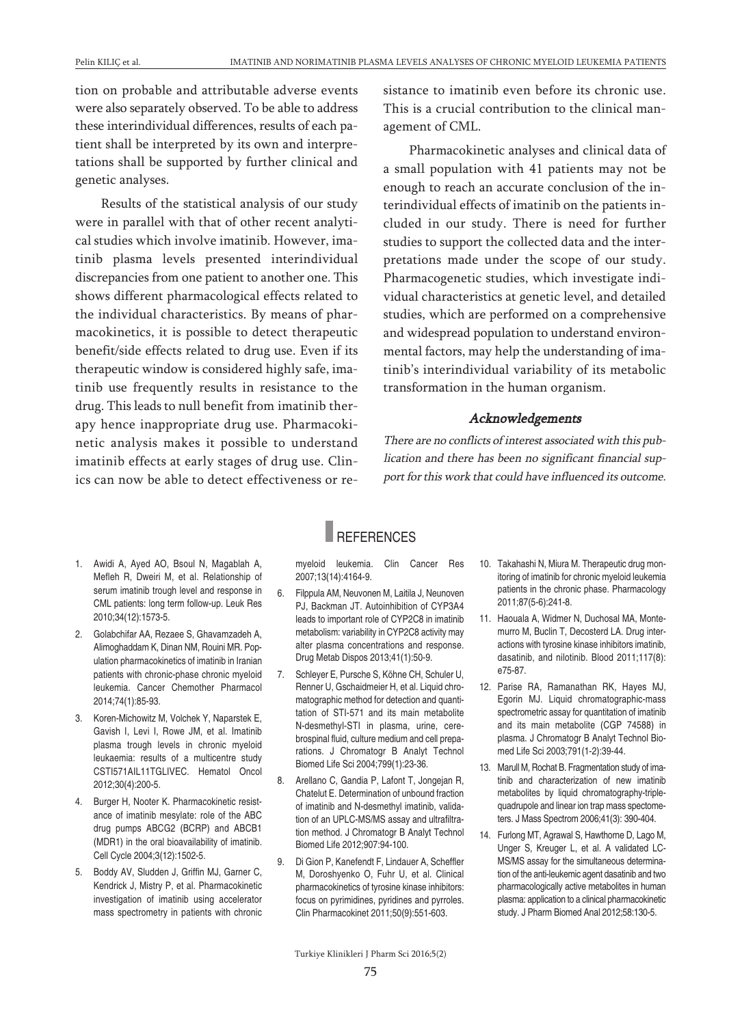tion on probable and attributable adverse events were also separately observed. To be able to address these interindividual differences, results of each patient shall be interpreted by its own and interpretations shall be supported by further clinical and genetic analyses.

Results of the statistical analysis of our study were in parallel with that of other recent analytical studies which involve imatinib. However, imatinib plasma levels presented interindividual discrepancies from one patient to another one. This shows different pharmacological effects related to the individual characteristics. By means of pharmacokinetics, it is possible to detect therapeutic benefit/side effects related to drug use. Even if its therapeutic window is considered highly safe, imatinib use frequently results in resistance to the drug. This leads to null benefit from imatinib therapy hence inappropriate drug use. Pharmacokinetic analysis makes it possible to understand imatinib effects at early stages of drug use. Clinics can now be able to detect effectiveness or resistance to imatinib even before its chronic use. This is a crucial contribution to the clinical management of CML.

Pharmacokinetic analyses and clinical data of a small population with 41 patients may not be enough to reach an accurate conclusion of the interindividual effects of imatinib on the patients included in our study. There is need for further studies to support the collected data and the interpretations made under the scope of our study. Pharmacogenetic studies, which investigate individual characteristics at genetic level, and detailed studies, which are performed on a comprehensive and widespread population to understand environmental factors, may help the understanding of imatinib's interindividual variability of its metabolic transformation in the human organism.

#### Acknowledgements

There are no conflicts of interest associated with this publication and there has been no significant financial support for this work that could have influenced its outcome.

- 1. Awidi A, Ayed AO, Bsoul N, Magablah A, Mefleh R, Dweiri M, et al. Relationship of serum imatinib trough level and response in CML patients: long term follow-up. Leuk Res 2010;34(12):1573-5.
- 2. Golabchifar AA, Rezaee S, Ghavamzadeh A, Alimoghaddam K, Dinan NM, Rouini MR. Population pharmacokinetics of imatinib in Iranian patients with chronic-phase chronic myeloid leukemia. Cancer Chemother Pharmacol 2014;74(1):85-93.
- 3. Koren-Michowitz M, Volchek Y, Naparstek E, Gavish I, Levi I, Rowe JM, et al. Imatinib plasma trough levels in chronic myeloid leukaemia: results of a multicentre study CSTI571AIL11TGLIVEC. Hematol Oncol 2012;30(4):200-5.
- 4. Burger H, Nooter K. Pharmacokinetic resistance of imatinib mesylate: role of the ABC drug pumps ABCG2 (BCRP) and ABCB1 (MDR1) in the oral bioavailability of imatinib. Cell Cycle 2004;3(12):1502-5.
- 5. Boddy AV, Sludden J, Griffin MJ, Garner C, Kendrick J, Mistry P, et al. Pharmacokinetic investigation of imatinib using accelerator mass spectrometry in patients with chronic

### **REFERENCES**

myeloid leukemia. Clin Cancer Res 2007;13(14):4164-9.

- 6. Filppula AM, Neuvonen M, Laitila J, Neunoven PJ, Backman JT. Autoinhibition of CYP3A4 leads to important role of CYP2C8 in imatinib metabolism: variability in CYP2C8 activity may alter plasma concentrations and response. Drug Metab Dispos 2013;41(1):50-9.
- 7. Schleyer E, Pursche S, Köhne CH, Schuler U, Renner U, Gschaidmeier H, et al. Liquid chromatographic method for detection and quantitation of STI-571 and its main metabolite N-desmethyl-STI in plasma, urine, cerebrospinal fluid, culture medium and cell preparations. J Chromatogr B Analyt Technol Biomed Life Sci 2004;799(1):23-36.
- 8. Arellano C, Gandia P, Lafont T, Jongejan R, Chatelut E. Determination of unbound fraction of imatinib and N-desmethyl imatinib, validation of an UPLC-MS/MS assay and ultrafiltration method. J Chromatogr B Analyt Technol Biomed Life 2012;907:94-100.
- 9. Di Gion P, Kanefendt F, Lindauer A, Scheffler M, Doroshyenko O, Fuhr U, et al. Clinical pharmacokinetics of tyrosine kinase inhibitors: focus on pyrimidines, pyridines and pyrroles. Clin Pharmacokinet 2011;50(9):551-603.
- 10. Takahashi N, Miura M. Therapeutic drug monitoring of imatinib for chronic myeloid leukemia patients in the chronic phase. Pharmacology 2011;87(5-6):241-8.
- 11. Haouala A, Widmer N, Duchosal MA, Montemurro M, Buclin T, Decosterd LA. Drug interactions with tyrosine kinase inhibitors imatinib, dasatinib, and nilotinib. Blood 2011;117(8): e75-87.
- 12. Parise RA, Ramanathan RK, Hayes MJ, Egorin MJ. Liquid chromatographic-mass spectrometric assay for quantitation of imatinib and its main metabolite (CGP 74588) in plasma. J Chromatogr B Analyt Technol Biomed Life Sci 2003;791(1-2):39-44.
- 13. Marull M, Rochat B. Fragmentation study of imatinib and characterization of new imatinib metabolites by liquid chromatography-triplequadrupole and linear ion trap mass spectometers. J Mass Spectrom 2006;41(3): 390-404.
- 14. Furlong MT, Agrawal S, Hawthorne D, Lago M, Unger S, Kreuger L, et al. A validated LC-MS/MS assay for the simultaneous determination of the anti-leukemic agent dasatinib and two pharmacologically active metabolites in human plasma: application to a clinical pharmacokinetic study. J Pharm Biomed Anal 2012;58:130-5.